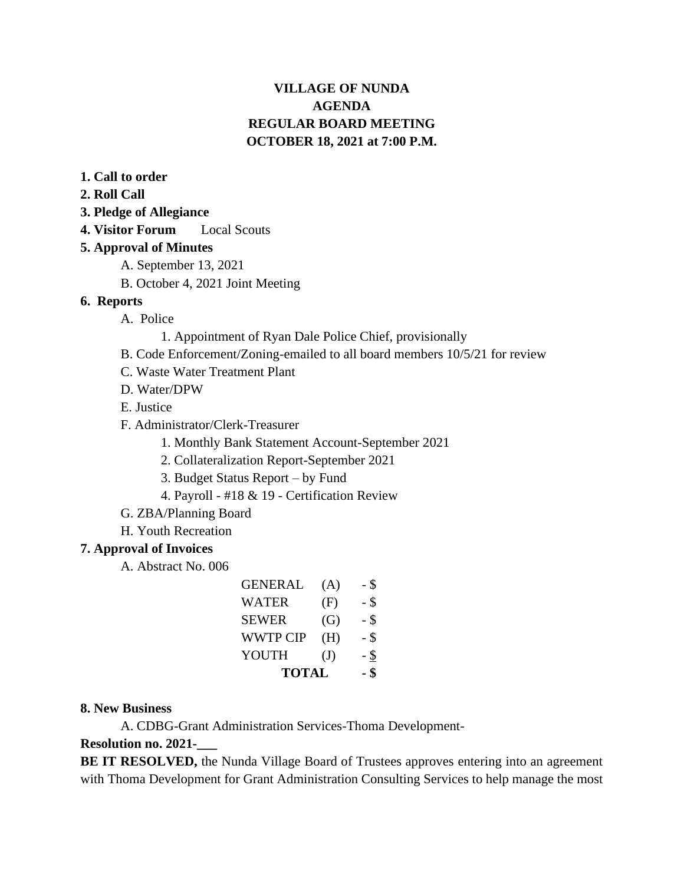# **VILLAGE OF NUNDA AGENDA REGULAR BOARD MEETING OCTOBER 18, 2021 at 7:00 P.M.**

- **1. Call to order**
- **2. Roll Call**
- **3. Pledge of Allegiance**
- **4. Visitor Forum** Local Scouts

### **5. Approval of Minutes**

- A. September 13, 2021
- B. October 4, 2021 Joint Meeting

#### **6. Reports**

- A. Police
	- 1. Appointment of Ryan Dale Police Chief, provisionally
- B. Code Enforcement/Zoning-emailed to all board members 10/5/21 for review
- C. Waste Water Treatment Plant
- D. Water/DPW
- E. Justice
- F. Administrator/Clerk-Treasurer
	- 1. Monthly Bank Statement Account-September 2021
	- 2. Collateralization Report-September 2021
	- 3. Budget Status Report by Fund
	- 4. Payroll #18 & 19 Certification Review
- G. ZBA/Planning Board
- H. Youth Recreation

#### **7. Approval of Invoices**

A. Abstract No. 006

| GENERAL         | (A)          | - \$ |
|-----------------|--------------|------|
| WATER           | (F)          | - \$ |
| <b>SEWER</b>    | (G)          | - \$ |
| <b>WWTP CIP</b> | (H)          | - \$ |
| YOUTH           | $\mathrm{J}$ | - \$ |
| <b>TOTAL</b>    |              | - \$ |

#### **8. New Business**

A. CDBG-Grant Administration Services-Thoma Development-

#### **Resolution no. 2021-\_\_\_**

**BE IT RESOLVED,** the Nunda Village Board of Trustees approves entering into an agreement with Thoma Development for Grant Administration Consulting Services to help manage the most